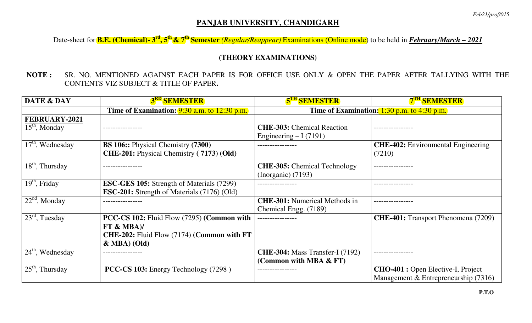## **PANJAB UNIVERSITY, CHANDIGARH**

Date-sheet for **B.E. (Chemical)- 3rd, 5th & 7th Semester** *(Regular/Reappear)* Examinations (Online mode) to be held in *February/March – 2021*

## **(THEORY EXAMINATIONS)**

**NOTE :** SR. NO. MENTIONED AGAINST EACH PAPER IS FOR OFFICE USE ONLY & OPEN THE PAPER AFTER TALLYING WITH THE CONTENTS VIZ SUBJECT & TITLE OF PAPER**.** 

| <b>DATE &amp; DAY</b>            | <b>3<sup>RD</sup> SEMESTER</b>                                                                                             | <b>5<sup>TH</sup> SEMESTER</b>                                   | <b>7<sup>TH</sup> SEMESTER</b>                                                      |
|----------------------------------|----------------------------------------------------------------------------------------------------------------------------|------------------------------------------------------------------|-------------------------------------------------------------------------------------|
|                                  | Time of Examination: $9:30$ a.m. to 12:30 p.m.                                                                             | Time of Examination: $1:30$ p.m. to $4:30$ p.m.                  |                                                                                     |
| FEBRUARY-2021<br>$15th$ , Monday |                                                                                                                            | <b>CHE-303:</b> Chemical Reaction<br>Engineering $-I(7191)$      |                                                                                     |
| $17th$ , Wednesday               | <b>BS 106::</b> Physical Chemistry (7300)<br>CHE-201: Physical Chemistry (7173) (Old)                                      |                                                                  | <b>CHE-402:</b> Environmental Engineering<br>(7210)                                 |
| $18th$ , Thursday                |                                                                                                                            | <b>CHE-305:</b> Chemical Technology<br>$(Inorganic)$ (7193)      |                                                                                     |
| $19th$ , Friday                  | <b>ESC-GES 105:</b> Strength of Materials (7299)<br><b>ESC-201:</b> Strength of Materials (7176) (Old)                     |                                                                  |                                                                                     |
| $22nd$ , Monday                  |                                                                                                                            | <b>CHE-301:</b> Numerical Methods in<br>Chemical Engg. (7189)    |                                                                                     |
| $23rd$ , Tuesday                 | PCC-CS 102: Fluid Flow (7295) (Common with<br>FT & MBA<br>CHE-202: Fluid Flow (7174) (Common with FT<br>$\&$ MBA $)$ (Old) |                                                                  | <b>CHE-401:</b> Transport Phenomena (7209)                                          |
| $24th$ , Wednesday               |                                                                                                                            | <b>CHE-304:</b> Mass Transfer-I (7192)<br>(Common with MBA & FT) |                                                                                     |
| $25th$ , Thursday                | <b>PCC-CS 103:</b> Energy Technology (7298)                                                                                |                                                                  | <b>CHO-401</b> : Open Elective-I, Project<br>Management & Entrepreneurship $(7316)$ |